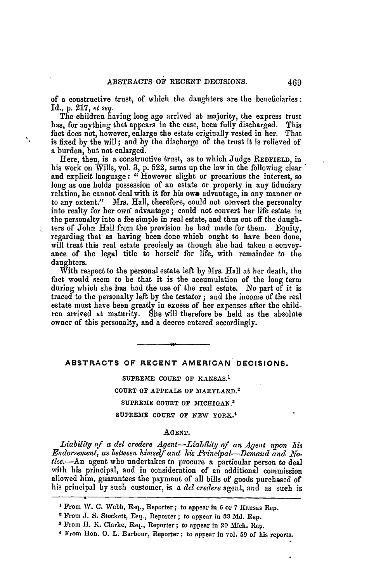of a constructive trust, of which the daughters are the beneficiaries: Id., p. 217, *et seq.*

The children having long ago arrived at majority, the express trust has, for anything that appears in the case, been fully discharged. This fact does not, however, enlarge the estate originally vested in her. That is fixed by the will; and by the discharge of the trust it is relieved of a burden, but not enlarged.

Here, then, is a constructive trust, as to which Judge **REDFIELD,** in his work on Wills, vol. 3, p. 522, sums up the law in the following clear and explicit language: *"* However slight or precarious the interest, so long as one holds possession of an estate or property in any fiduciary relation, he cannot deal with it for his owe advantage, in any manner or to any extent." Mrs. Hall, therefore, could not convert the personalty into realty for her own" advantage ; could not convert her life estate in the personalty into a fee simple in real estate, and thus cut off the daughters of John Hall from the provision he had made for them. Equity, regarding that as having been done which ought to have been done, will treat this real estate precisely as though she had taken a convey- ance of the legal title to herself for life, with remainder to the daughters.

With respect to the personal estate left by Mrs. Hall at her death, the fact would seem to be that it is the accumulation of the long term during which she has had the use of the real estate. No part of it is traced to the personalty left by the testator; and the income of the real estate must have been greatly in excess of her expenses after the child- ren arrived at maturity. She will therefore be held as the absolute owner of this personalty, and a decree entered accordingly.

# **ABSTRACTS OF RECENT AMERICAN DECISIONS.**

**SUPREME COURT** OF **KANSAS.' COURT OF APPEALS OF MARYLAND. <sup>2</sup> SUPREME COURT OF MICHIGAN.<sup>3</sup> SUPREME COURT OF NEW YORK.'**

#### **AGENT.**

*Liability of a del credere Agent-Liability of an Agent aqpon his* Endorsement, as between himself and his Principal-Demand and Notice.-An agent who undertakes to procure a particular person to deal with his principal, and in consideration of an additional commission allowed him, guarantees the payment of all bills of goods purchased of his principal by such customer, is a *del credere* agent, and as such is

**I** From W. **C.** Webb, Esq., Reporter; to appear in **6** or **7** Kansas Rep.

<sup>&</sup>lt;sup>2</sup> From J. S. Stockett, Esq., Reporter; to appear in 33 Md. Rep.

**<sup>3</sup>**From **H1.** K. Clarke, Esq., Reporter; to appear in 20 Alich. Rep.

**<sup>4</sup>** From Hon. **0. L.** Barbour, Reporter; to appear in vol: **59** of his reports.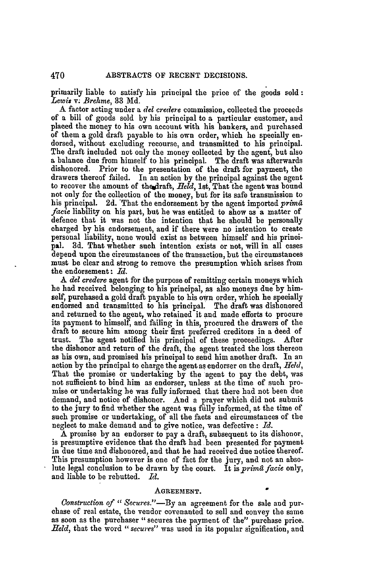primarily liable to satisfy his principal the price of the goods sold: *Lewis v. Brehme,* **33 Md.**

A factor acting under a *del credere* commission, collected the proceeds of a bill of goods sold by his principal to a particular customer, and placed the money to his own account with his bankers, and purchased of them a gold draft payable to his own order, which he specially en- dorsed, without excluding recourse, and transmitted to his principal. The draft included not only the money collected by the agent, but also a balance due from himself to his principal. The draft was afterwards dishonored. Prior to the presentation of the draft for payment, the drawers thereof failed. In an action by the principal against the agent to recover the amount of the draft, Held, 1st, That the agent was bound not only for the collection of the money, but for its safe transmission to his principal. **2d.** 'That the endorsement **by** the agent imported *primfl facie* liability on his part, but he was entitled to show as a matter of defence that it was not the intention that he should be personally charged **by** his endorsement, and if there were no intention to create personal liability, none would exist as between himself and his princi**pal. 3d.** That whether such intention exists or not, will in all cases depend upon the circumstances of the transaction, but the circumstances must be clear and strong to remove the presumption which arises from the endorsement: *Id.*

*A del credere* agent for the purpose of remitting certain moneys which he had received belonging to his principal, as also moneys due by himself, purchased a gold draft payable to his own order, which he specially endorsed and transmitted to his principal. The draft was dishonored and returned to the agent, who retained it **and** made efforts to procure its payment to himself, and failing in this, procured the drawers of the draft to secure him among their first preferred creditors in a deed of trust. The agent notified his principal of these proceedings. After the dishonor and return of the draft, the agent treated the loss thereon<br>as his own, and promised his principal to send him another draft. In an<br>action by the principal to charge the agent as endorser on the draft, Held, That the promise or undertaking by the agent to pay the debt, was not sufficient to bind him as endorser, unless at the time of such promise or undertaking he was fully informed that there had not been due demand, and notice of dishonor. And a prayer which did not submit to the jury to find whether the agent was fully informed, at the time of such promise or undertaking, of all the facts and circumstances of the neglect to make demand and to give notice, was defective **:** *rd.*

A promise by an endorser to pay a draft, subsequent to its dishonor, is presumptive evidence that the draft had been presented for payment in due time and dishonored, and that he had received due notice thereof. This presumption however is one of fact for the jury, and not an absolute legal conclusion to be drawn by the court. It is *primd facie* only, and liable to be rebutted. *Id.*

### **AGREEMENT.**

*Construction of " Secures."-By* an agreement for the sale and purchase of real estate, the vendor covenanted to sell and convey the same as soon as the purchaser "secures the payment of the" purchase price. *Held,* that the word *"secures"* was used in its popular signification, and

470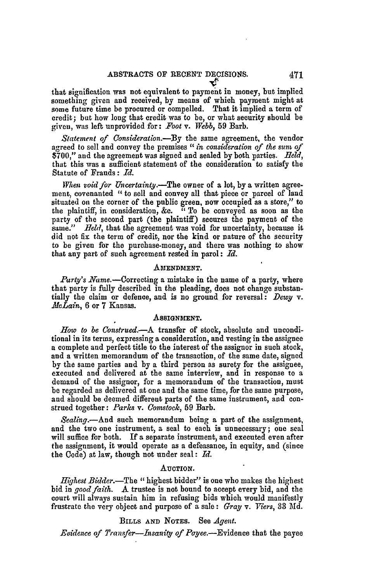that signification was not equivalent to payment in money, but implied something given and received, **by** means of which payment might at some future time be procured or compelled. That it implied a term of credit; but how long that credit was to be, or what security should be given, was left unprovided for: *Foot* v. *Webb,* **59** Barb.

Statement *of Consideration.-By* the same agreement, the vendor agreed to sell and convey the premises *"in consideration* of the *sum* of **\$700,"** and the agreement was signed and sealed **by** both parties. *field,* that this was a sufficient statement of the consideration to satisfy the Statute of Frauds: *Id.*

*When void for Uncertainty.-The* owner of a lot, **by** a written agreement, covenanted *"to* sell and convey all that piece or parcel of land situated on the corner of the public green, now occupied as a store," to the plaintiff, in consideration, &c. " To be conveyed as soon as the party of the second part (the plaintiff) secures the payment of the same." *Held*, that the agreement was void for uncertainty, because it did not fix the term of credit, nor the kind or nature of the security to be given for the purchase-money, and there was nothing to show that any part of such agreement rested in parol: *Id.*

#### **AMENDMENT.**

Party's Name.-Correcting a mistake in the name of a party, where that party is fully described in the pleading, does not change substantially the claim or defence, and is no ground for reversal: *Dewy v. .McLain,* **6** or **7** Kansas.

#### **ASSIGNMENT.**

*How* to *be Construed.-A* transfer of stock, absolute and unconditional in its terms, expressing a consideration, and vesting in the assignee a complete and perfect title to the interest of the assignor in such stock, and a written memorandum of the transaction, of the same date, signed **by** the same parties and **by** a third person as surety for the assignee, executed and delivered at the same interview, and in response to a demand of the assignor, for a memorandum of the transaction, must be regarded as delivered at one and the same time, for the same purpose, and should be deemed different parts of the same instrument, and construed together: *Parks v.* Comstock, **59** Barb.

*Sealing.-And* such memorandum being a part of the assignment, and the two one instrument, a seal to each is unnecessary; one seal will suffice for both. If a separate instrument, and executed even after the assignment, it would operate as a defeasance, in equity, and (since the Code) at law, though not under seal: *Id.*

#### **AUCTION.**

*Highest Bidder.-The* "highest bidder" is one who makes the highest bid in *good faith.* **A** trustee is not bound to accept every bid, and the court will always sustain him in refusing bids which would manifestly frustrate the very object and purpose of a sale : *Gray* v. *Viers,* **33** *Md.*

## **BILLS AND NOTES.** See *Agent.*

*Evidence of Transfer-Insanity of* Payee.-Evidence that the payee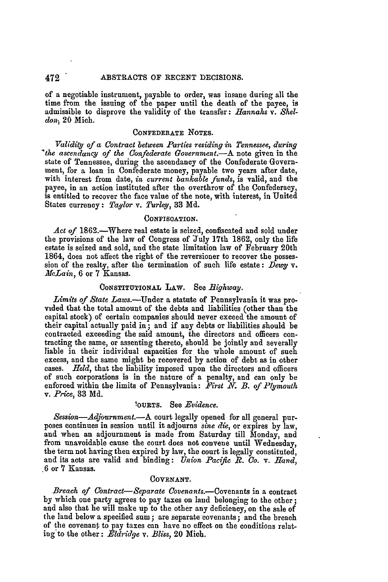of a negotiable instrument, payable to order, was insane during all the time from the issuing of the paper until the death of the payee, is admissible to disprove the validity of the transfer: *Hannahs v. Sheldon)* 20 Mich.

## **CONFEDERATE NOTES.**

*Validiy of a Contract between Parties residing in Tennessee, during 'the ascendancy of the Confederate Government.-A* note given in the state of Tennessee, during the ascendancy of the Confederate Government, for a loan in Confederate money, payable two years after date, with interest from date, *in current bankable funds,* is valid, and the payee, in an action instituted after the overthrow of the Confederacy, is entitled to recover the face value of the note, with interest, in United States currency: *Taylor v. Turley,* 33 **Md.**

#### CONFISCATION.

Act of 1862.-Where real estate is seized, confiscated and sold under the provisions of the law of Congress of July 17th **1862,** only the life estate is seized and sold, and the state limitation law of February 20th 1864, does not affect the right of the reversioner to recover the possession of the realty, after the termination of such life estate: *Dewy* v. *illcLain,* 6 or **7** Kansas.

## **CONSTITUTIONAL** LAW. See *Bighway.*

*Limits of State Laws.-Under* a statute of Pennsylvania it was provided that the total amount of the debts and liabilities (other than the capital stock) of certain companies should never exceed the amount of their capital actually paid in; and if any debts or liabilities should be contracted exceeding the said amount, the directors and officers con- tracting the same, or assenting thereto, should be jointly and severally liable in their individual capacities for the whole amount of such excess, and the same might be recovered by action of debt as in other cases. *Held,* that the liability imposed upon the directors and officers of such corporations is in the nature of a penalty, and can only be enforced within the limits of Pennsylvania: *\_First N. B. of Plymouth v. Price,* **83 Md.**

# **OURTS.** See *Evidence.*

*Session-Adjournment.*--A court legally opened for all general purposes continues in session until it adjourns *sine die,* or expires **by** law, and when an adjournment is made from Saturday till Monday, and from unavoidable cause the court does not convene until Wednesday, the term not having then expired **by** law, the court is legally constituted, and its acts are valid and binding: *Union Pacific R. Co. v. Hand,* **6** or **7** Kansas.

#### **COVENANT.**

*Breach of Contract-Separate Covenants.-Covenants* in a contract by which one party agrees to pay taxes on laud belonging to the other; and also that he will make up to the other any deficiency, on the sale of the land below a specified sum; are separate covenants; and the breach of the covenant to pay taxes can have no effect on the conditions relating to the other: *Eldridge* v. *Bliss*, 20 Mich.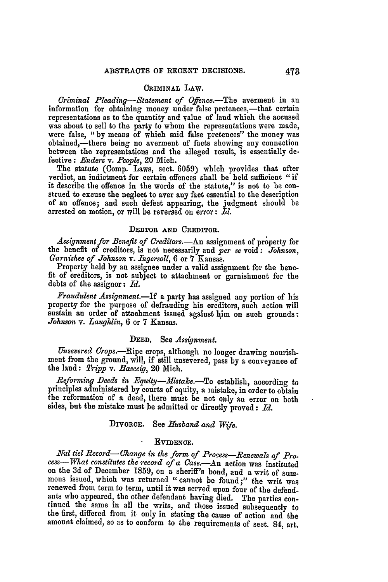# **CRIMINAL** LAW.

*Criminal Pleading-Statement of Offence.*-The averment in an information for obtaining money under false pretences,-that certain representations as to the quantity and value of land which the accused was about to sell to the party to whom the representations were made, were false, "by means of which said false pretences" the money was obtained,—ther between the representations and the alleged result, is essentially defective : *Enders* v. *Peopl,* 20 Mich.

The statute (Comp. Laws, sect. 6059) which provides that after verdict, an indictment for certain offences shall be held sufficient *"if* it describe the offence in the words of the statute," is not to be con- strued to excuse the neglect to aver any fact essential to the description of an offence; and such defect appearing, the judgment should be arrested on motion, or will be reversed on error: *Id.*

# **DEBTOR AND CREDITOR.**

Assignment for Benefit of Creditors.—An assignment of property for the benefit of creditors, is not necessarily and *per se* void **:** *Johnson, Garnishee of Johnson v. Ingersoll,* 6 or **7** Kansas.

Property held by an assignee under a valid assignment for the benefit of creditors, is not subject to attachment or garnishment for the debts of the assignor: *Id.*

*Fraudulent Assignment.-If* a party has assigned any portion of his property for the purpose of defrauding his creditors, such action will sustain an order of attachment issued against him on such grounds: *Johnson v. Laughlin,* 6 or **7** Kansas.

## **DEED, See** *Assignment.*

*Unsevered Crops.-Ripe* crops, although no longer drawing nourishment from the ground, will, if still unsevered, pass by a conveyance of the land: *Tripp* v. *Rasceig,* 20 Mich.

*Reforminq Deeds in Equity-Mistake.-To* establish, according **to** principles administered by courts of equity, a mistake, in order to obtain the reformation' of a deed, there must be not only an error on both sides, but the mistake must be admitted or directly proved: *Id.*

# **DIVORCE.** See *Husband and* **Wife.**

# **EVIDENCE.**

Nul tiel Record—Change in the form of Process—Renewals of Process—What constitutes the record of a Case.—An action was instituted on the 3d of December 1859, on a sheriff's bond, and a writ of summons issued, which was re ants who appeared, the other defendant having died. The parties con-<br>tinued the same in all the writs, and those issued subsequently to the first, differed from it only in stating the cause of action and the amount claimed, so as to conform to **the** requirements of sect. 84, art.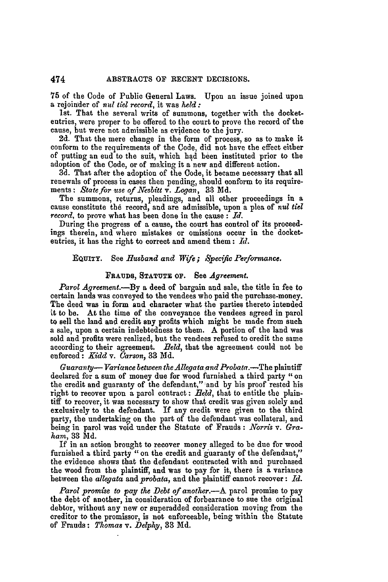**<sup>75</sup>**of the Code of Public General Laws. Upon an issue joined upon a rejoinder of *nul tiel record,* it was *held:*

1st. That the several writs of summons, together with the docketentries, were proper to be offered to the court to prove the record of the cause, but were not admissible as evidence to the jury.

**2d.** That the mere change in the form of process, so as to make it conform to the requirements of the Code, did not have the effect either of putting an end to the suit, which had been instituted prior to the adoption of the Code, or of making it a new and different action.

**3d.** That after the adoption of the Code, it became necessary that all renewals of process in cases then pending, should conform to its requirements: *State for use of Nesbitt v. Logan*, 33 Md.

The summons, returns, pleadings, and all other proceedings in a cause constitute the record, and are admissible, upon a plea of *nul tiel record,* to prove what has been done in the cause **:** *Id.*

During the progress of a cause, the court has control of its proceedings therein, and where mistakes or omissions occur in the docketentries, it has the right to correct and amend them: *Id.*

# **EQUITY.** See *Husband and Wife; Specific Performance.*

### **FRAUDS, STATUTE** OF. See *Agreement.*

*Tarol* Agreement.-By a deed of bargain and sale, the title in fee to certain lands was conveyed to the vendees **who** paid the purchase-money. The deed was in form and character what the parties thereto intended it to **be.** At the time of the conveyance the vendees agreed in parol to sell the land and credit any profits which might be made from such a sale, upon a certain indebtedness to them. **A** portion of the land was sold and profits were realized, but the vendees refused to credit the same according to their agreement. *Beld,* that the agreement could not be enforced: *Kidd v. Carson,* **33 Md.**

*Guaranty- Variance between the Allegata and Probata.-The* plaintiff declared for a sum of money due for wood furnished a third party "on the credit and guaranty of the defendant," and **by** his proof rested his right to recover upon a parol contract: *Held,* that to entitle the plaintiff to recover, it was necessary to show that credit was given solely and exclusively to the defendant. If any credit were given to the third party, the undertaking on the part of the defendant was collateral, and being in parol was void under the Statute of Frauds **:** *Norris v. Graham,* **33 Md.**

If in an action brought to recover money alleged to be due for wood furnished a third party "on the credit and guaranty of the defendant," the evidence shows that the defendant contracted with and purchased the wood from the plaintiff, and was to pay for it, there is a variance between the *allegata* and *probata,* and the plaintiff cannot recover: *Id.*

*Parol promise to pay the Debt of another.*—A parol promise to pay the debt of another, in consideration of forbearance to sue the original debtor, without any new or superadded consideration moving from the creditor to the promissor, is not enforceable, being within the Statute of Frauds: *Thomas v. Delphy,* **33 Md.**

474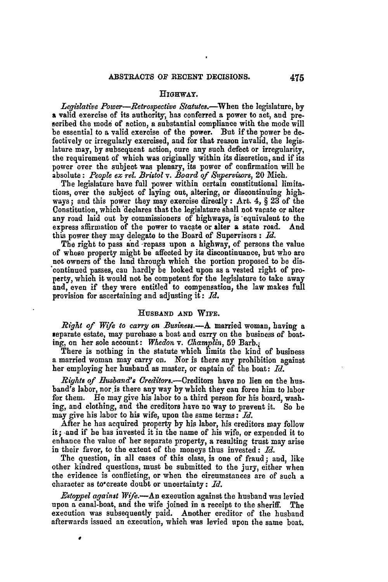#### **HIGHWAY.**

Legislative Power-Retrospective Statutes.<sup>-</sup>When the legislature, by **a** valid exercise of its authority, has conferred a power to act, and prescribed the mode of action, a substantial compliance with the mode will be essential to a valid exercise of the power. But if the power be defectively or irregularly exercised, and for that reason invalid, the legislature may, **by** subsequent action, cure any such defect or irregularity, the requirement of which was originally within its discretion, and if its power over the subject was plenary, its power of confirmation will be absolute: *People ex rel. Bristol v. Board of Supervisors*, 20 Mich.

The legislature have full power within certain constitutional limitations, over the subject of laying out, altering, or discontinuing highways; and this power they may exercise directly: Art. 4, § **23** of the Constitution, which 'declares that the legislature shall not vacate or alter any road laid out by commissioners of highways, is equivalent to the express affirmation of the power to vacate or alter a state road. And this power they may delegate to the Board of Supervisors **:** *Id.*

The right to pass and -repass upon a highway, of persons the value of whose property might be affected **by** its discontinuance, but who **are** not owners of the land through which the portion proposed to be discontinued passes, can hardly **be** looked upon as a vested right of property, which it would not he competent for the legislature **to** take away and, even if they were entitled to compensation, the law makes full provision for ascertaining and adjusting it: *Id.*

## **HUSBAND AND WIFE.**

*Right of Wife to carry on Business.-A.* married woman, having a separate estate, may purchase a boat and carry on the business of boating, on her sole account: *Whedon v. Champlin*, 59 Barb.

There is nothing in the statute which limits the kind of business a married woman may carry on. Nor is there any prohibition against her employing her husband as master, or captain of the boat: *Id.*

*Rights of Ilusband's Creditors.*—Creditors have no lien on the husband's labor, nor is there any way **by** which they can force him to labor for them. He may give his labor to a third person for his board, washing, and clothing, and the creditors have no way to prevent it. So **he** may give his labor to his wife, upon the same terms: *Td.*

After he has acquired property **by** his labor, his creditors may follow it; and if he has invested it in the name of his wife, or expended it to enhance the value of her separate property, a resulting trust may arise in their favor, to the extent of the moneys thus invested: *Id.*

The question, in all cases of this class, is one of fraud; and, like other kindred questions, must **be** submitted to the jury, either when the evidence is conflicting, or when the circumstances are of such a character as to'create doubt or uncertainty: *Id.*

*Estoppel against Wife.-An* execution against the husband was levied upon a canal-boat, and the wife joined in a receipt to the sheriff. The execution was subsequently paid. Another creditor of the husband afterwards issued an execution, which was levied upon the same boat.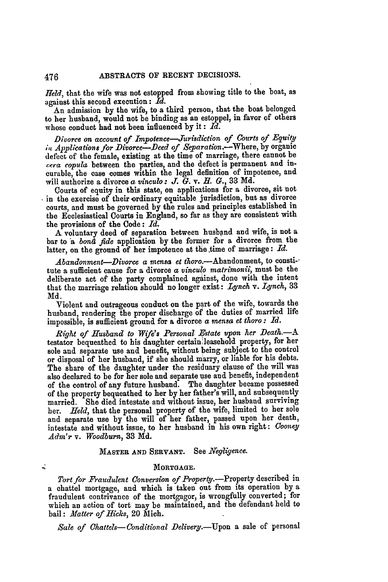*Held,* that the wife was not estopped from showing title to the boat, as against this second execution: *Id.*

An admission **by** the wife, to a third person, that the boat belonged to her husband, would not be binding as an estoppel, in favor of others whose conduct had not been influenced **by** it **:** *Id.*

Divorce on account of *Impotence-Jurisdiction of Courts of Eguity* in' *Applications* for *Divorce-Deed* of *Separation.-Where,* **by** organic defect of the female, existing at the time of marriage, there cannot be *;era copula* between the parties, and the defect is permanent and incurable, the case comes within the legal definition of impotence, and will authorize a divorce a *vinculo: J. G.* v. *R. G.,* 33 Md.

Courts of equity in this state, on applications for a divorce, sit not in the exercise of their ordinary equitable jurisdiction, but as divorce courts, and must be governed by the rules and principles established in the Ecclesiastical Courts in England, so far as they are consistent with the provisions of the Code: *Id.*

A voluntary deed of separation between husbgnd and wife, is not a bar to a *bond fide* application by the former for a divorce from the latter, on the ground of her impotence at the time of marriage: Id.

*Abandonment-Divorce a mensa et thoro.*--Abandonment, to constitute a sufficient cause for a divorce a *vinculo matrimonii,* must be the deliberate act of the party complained against, done with the intent that the marriage relation should no longer exist: *Lynch v. Lynch,* 33 Md.

Violent and outrageous conduct on the part of the wife, towards the husband, rendering the proper discharge of the duties of married life impossible, is sufficient ground for a divorce a *mensa et thoro : Id.*

*Right of Husband to Wife's Personal Estate upon her Death.-A* testator bequeathed to his daughter certain leasehold property, for her sole and separate use and benefit, without being subject to the control or disposal of her husband, if she should marry, or liable for his debts. The share of the daughter under the residuary clause of the will was also declared to be for her sole and separate use and benefit, independent of the control of any future husband. The daughter became possessed of the property bequeathed to her by her father's will, and subsequently married. She died intestate and without issue, her husband surviving her. *Held,* that the personal property of the wife, limited to her sole and separate use by the will of her father, passed upon her death, intestate and without issue, to her husband in his own right: *Cooney Adm'r v. Woodburn,* **33 Did.**

## **MASTER AND SERVANT.** See *Negligence.*

### MORTGAGE.

Tort for Fraudulent Conversion of Property.-Property described in a chattel mortgage, and which is taken out from its operation by a fraudulent contrivance of the mortgagor, is wrongfully converted; for which an action of tort may be maintained, and the defendant held to bail: *Matter of Hicks,* 20 Mich.

Sale of Chattels-Conditional Delivery.-Upon a sale of personal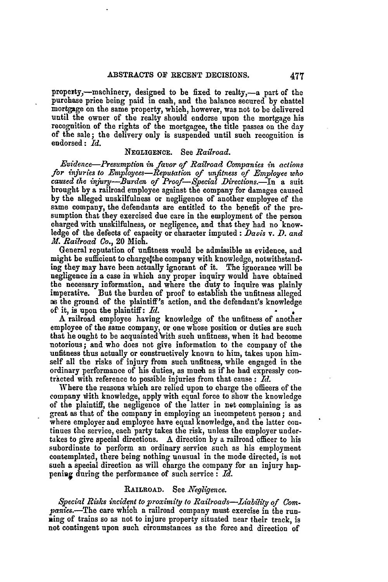property,-machinery, designed to be fixed to realty,-a part of the purchase price being paid in cash, and the balance secured **by** chattel mortgage on the same property, which, however, was not to **be** delivered until the owner of the realty should endorse upon the mortgage his recognition of the rights of the mortgagee, the title passes on the day of the sale; the delivery only is suspended until such recognition is endorsed: *Id.*

## **NEGLIGENCE.** See *Railroad.*

*Evidence-Presumption in favor of Railroad Companies in actions for injuries to Employees-Reputation of unfitness of Employee who caused the injury-Burden of Proof-Special Directions.-In* a suit brought **by** a railroad employee against the company for damages caused **by** the alleged unskilfulness or negligence of another employee of the same company, the defendants are entitled to the benefit of the presumption that they exercised due care in the employment of the person charged with unskilfulness, or negligence, and that they had no knowledge of the defects of capacity or character imputed **:** *Davis v. D. and M. Railroad Co.,* 20 **Mioh.**

General reputation of unfitness would be admissible as evidence, and might be sufficient to chargelthe company with knowledge, notwithstand**ing** they **may** have been actually ignorant of it. The ignorance will be negligence in a case in which any proper inquiry would have obtained the necessary information, and where the duty to inquire was plainly imperative. But the burden of proof to establish the unfitness alleged as the ground of the plaintiff's action, and the defendant's knowledge of it, is upon the plaintiff: *1.*

A railroad employee having knowledge of the unfitness of another employee of the same company, or one whose position or duties are such that he ought to be acquainted With such unfitness, when it had become notorious; and who does not give information to the company of the unfitness thus actually or constructively known **to** him, takes upon himself all the risks of injury from such unfitness, while engaged in the ordinary performance of his duties, as much as if he had expressly contracted with reference to possible injuries from that cause : Id.

Where the reasons which are relied upon to charge the officers of the company with knowledge, apply with equal force to show the knowledge of the plaintiff, the negligence of the latter in net complaining is as great as that of the company in employing an incompetent person; and where employer and employee have equal knowledge, and the latter continues the service, each party takes the risk, unless the employer undertakes to give special directions. A direction **by** a railroad officer to his subordinate to perform an ordinary service such as his employment contemplated, there being nothing unusual in the mode directed, is not such a special direction as will charge the company for an injury hap-<br>pening during the performance of such service : *Id*.

# **RAILROAD.** See *Negligence.*

*Special Rieks incident to proximity to Railroads-Liabilty of Companies.-The* care which a railroad company must exercise in the run-Ring of trains so as not to injure property situated near their track, is not contingent upon such circumstances as the force and direction of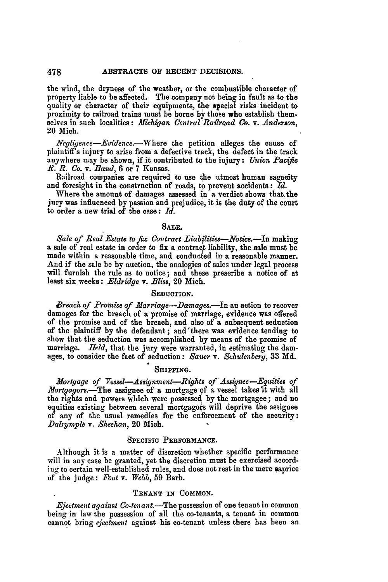the wind, the dryness of the weather, or the combustible character of property liable to be affected. The company not being in fault as to the quality or character of their equipments, the special risks incident to proximity to railroad trains must be borne **by** those who establish them. selves in such localities: *Michigan (entral Railroad Co. v. Anderson,* 20 Mich.

*Negliqence-Evidence.-Where* the petition alleges the cause of plaintiff's injury to arise from a defective track, the defect in the track anywhere way be shown, if it contributed to the injury: *Union Pacific R. R. Co. v. Band,* 6 or 7 Kansas.

Railroad companies are required to use the utmost human sagacity and foresight in the construction of roads, to prevent accidents: *Id.*

Where the amount of damages assessed in a verdict shows that.the jury was influenced **by** passion and prejudice, it is the duty of the court to order a new trial of the case: *Id.*

#### **SALE.**

*Sale of Real Estate to fix Contract Liabilities--Notice.--In making* a sale of real estate in order to fix a contract liability, the sale must be made within a reasonable time, and conducted in a reasonable manner. And if the sale be **by** auction, the analogies of sales under legal process will furnish the rule as to notice; and these prescribe a notice of at least six weeks: *Eldridge* v. *Bliss,* 20 Mich.

## **SEDUCTION.**

*Breach of Promise of Marriage-Damages.-In* an action to recover damages for the breach of a promise of marriage, evidence was offered of the promise and of the breach, and also of a subsequent seduction of the plaintiff **by** the defendant; and'there was evidence tending **to** show that the seduction was accomplished **by** means of the promise of marriage. *Held,* that the jury were warranted, in estimating the damages, to consider the fact of seduction: *Sauer v. Schulenbery,* 33 **Md.**

# **SHIPPING.**

*Mortgage of Vessel-Assignment-Rights of'Assignee-Equities of Mortgagors.-The* assignee of a mortgage of a vessel takes it with all the rights and powers which were possessed **by** the mortgagee; and no equities existing between several mortgagors will deprive the assignee of any of the usual remedies for the enforcement of the security: *Dalrympl& v. Sheehan,* 20 Mich.

### **SPECIFIC PERFORMANCE.**

Although it is a matter of discretion whether specific performance will in any case be granted, yet the discretion must be exercised according to certain well-established rules, and does not rest in the mere caprice **of** the judge: *Foot* v. *Webb,* **59** Barb.

## **TENANT IN** COMMON.

*Ejectment against Co-tenant.*—The possession of one tenant in common being in law the possession of all the co-tenants, a tenant in common cannot bring *ejectment* against. his co-tenant unless there has been an

478